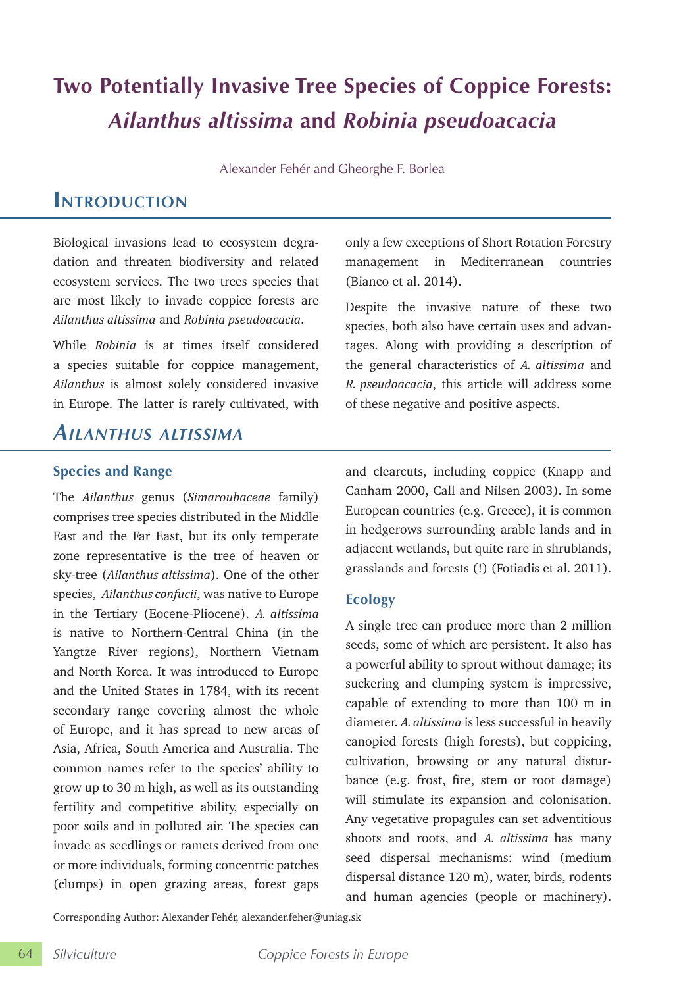# **Two Potentially Invasive Tree Species of Coppice Forests:**  *Ailanthus altissima* **and** *Robinia pseudoacacia*

Alexander Fehér and Gheorghe F. Borlea

# **Introduction**

Biological invasions lead to ecosystem degradation and threaten biodiversity and related ecosystem services. The two trees species that are most likely to invade coppice forests are *Ailanthus altissima* and *Robinia pseudoacacia*.

While *Robinia* is at times itself considered a species suitable for coppice management, *Ailanthus* is almost solely considered invasive in Europe. The latter is rarely cultivated, with

# *Ailanthus altissima*

### **Species and Range**

The *Ailanthus* genus (*Simaroubaceae* family) comprises tree species distributed in the Middle East and the Far East, but its only temperate zone representative is the tree of heaven or sky-tree (*Ailanthus altissima*). One of the other species, *Ailanthus confucii*, was native to Europe in the Tertiary (Eocene-Pliocene). *A. altissima* is native to Northern-Central China (in the Yangtze River regions), Northern Vietnam and North Korea. It was introduced to Europe and the United States in 1784, with its recent secondary range covering almost the whole of Europe, and it has spread to new areas of Asia, Africa, South America and Australia. The common names refer to the species' ability to grow up to 30 m high, as well as its outstanding fertility and competitive ability, especially on poor soils and in polluted air. The species can invade as seedlings or ramets derived from one or more individuals, forming concentric patches (clumps) in open grazing areas, forest gaps

only a few exceptions of Short Rotation Forestry management in Mediterranean countries (Bianco et al. 2014).

Despite the invasive nature of these two species, both also have certain uses and advantages. Along with providing a description of the general characteristics of *A. altissima* and *R. pseudoacacia*, this article will address some of these negative and positive aspects.

and clearcuts, including coppice (Knapp and Canham 2000, Call and Nilsen 2003). In some European countries (e.g. Greece), it is common in hedgerows surrounding arable lands and in adjacent wetlands, but quite rare in shrublands, grasslands and forests (!) (Fotiadis et al. 2011).

### **Ecology**

A single tree can produce more than 2 million seeds, some of which are persistent. It also has a powerful ability to sprout without damage; its suckering and clumping system is impressive, capable of extending to more than 100 m in diameter. *A. altissima* is less successful in heavily canopied forests (high forests), but coppicing, cultivation, browsing or any natural disturbance (e.g. frost, fire, stem or root damage) will stimulate its expansion and colonisation. Any vegetative propagules can set adventitious shoots and roots, and *A. altissima* has many seed dispersal mechanisms: wind (medium dispersal distance 120 m), water, birds, rodents and human agencies (people or machinery).

Corresponding Author: Alexander Fehér, alexander.feher@uniag.sk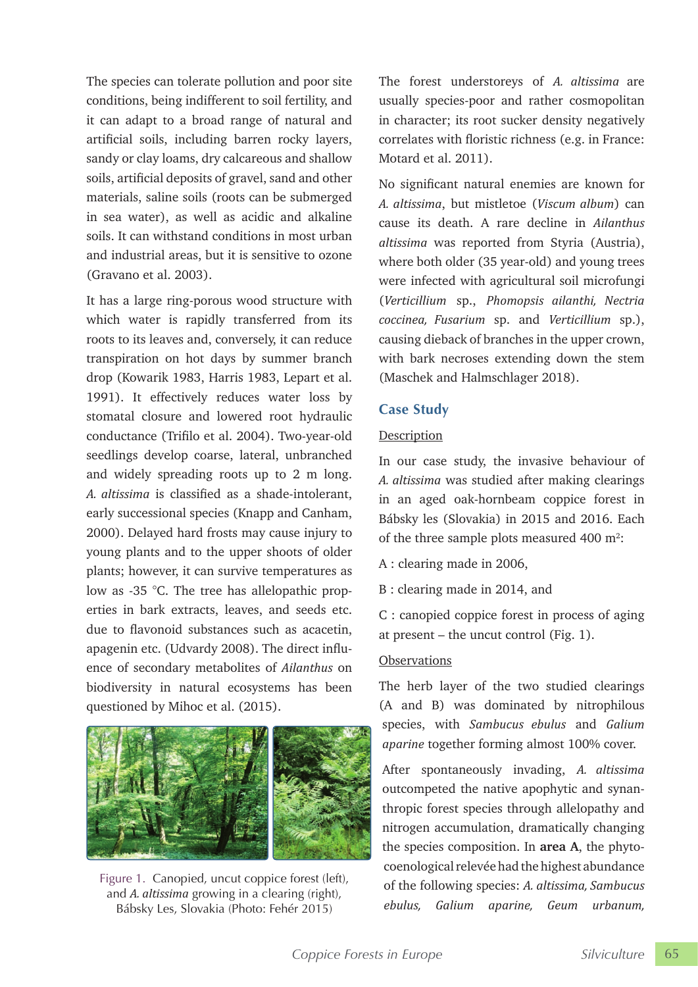The species can tolerate pollution and poor site conditions, being indifferent to soil fertility, and it can adapt to a broad range of natural and artificial soils, including barren rocky layers, sandy or clay loams, dry calcareous and shallow soils, artificial deposits of gravel, sand and other materials, saline soils (roots can be submerged in sea water), as well as acidic and alkaline soils. It can withstand conditions in most urban and industrial areas, but it is sensitive to ozone (Gravano et al. 2003).

It has a large ring-porous wood structure with which water is rapidly transferred from its roots to its leaves and, conversely, it can reduce transpiration on hot days by summer branch drop (Kowarik 1983, Harris 1983, Lepart et al. 1991). It effectively reduces water loss by stomatal closure and lowered root hydraulic conductance (Trifilo et al. 2004). Two-year-old seedlings develop coarse, lateral, unbranched and widely spreading roots up to 2 m long. *A. altissima* is classified as a shade-intolerant, early successional species (Knapp and Canham, 2000). Delayed hard frosts may cause injury to young plants and to the upper shoots of older plants; however, it can survive temperatures as low as -35 °C. The tree has allelopathic properties in bark extracts, leaves, and seeds etc. due to flavonoid substances such as acacetin, apagenin etc. (Udvardy 2008). The direct influence of secondary metabolites of *Ailanthus* on biodiversity in natural ecosystems has been questioned by Mihoc et al. (2015).



Figure 1. Canopied, uncut coppice forest (left), and *A. altissima* growing in a clearing (right), Bábsky Les, Slovakia (Photo: Fehér 2015)

The forest understoreys of *A. altissima* are usually species-poor and rather cosmopolitan in character; its root sucker density negatively correlates with floristic richness (e.g. in France: Motard et al. 2011).

No significant natural enemies are known for *A. altissima*, but mistletoe (*Viscum album*) can cause its death. A rare decline in *Ailanthus altissima* was reported from Styria (Austria), where both older (35 year-old) and young trees were infected with agricultural soil microfungi (*Verticillium* sp., *Phomopsis ailanthi, Nectria coccinea, Fusarium* sp. and *Verticillium* sp.), causing dieback of branches in the upper crown, with bark necroses extending down the stem (Maschek and Halmschlager 2018).

### **Case Study**

#### Description

In our case study, the invasive behaviour of *A. altissima* was studied after making clearings in an aged oak-hornbeam coppice forest in Bábsky les (Slovakia) in 2015 and 2016. Each of the three sample plots measured  $400 \text{ m}^2$ :

A : clearing made in 2006,

B : clearing made in 2014, and

C : canopied coppice forest in process of aging at present – the uncut control (Fig. 1).

### **Observations**

The herb layer of the two studied clearings (A and B) was dominated by nitrophilous species, with *Sambucus ebulus* and *Galium aparine* together forming almost 100% cover.

After spontaneously invading, *A. altissima* outcompeted the native apophytic and synanthropic forest species through allelopathy and nitrogen accumulation, dramatically changing the species composition. In **area A**, the phytocoenological relevée had the highest abundance of the following species: *A. altissima, Sambucus ebulus, Galium aparine, Geum urbanum,*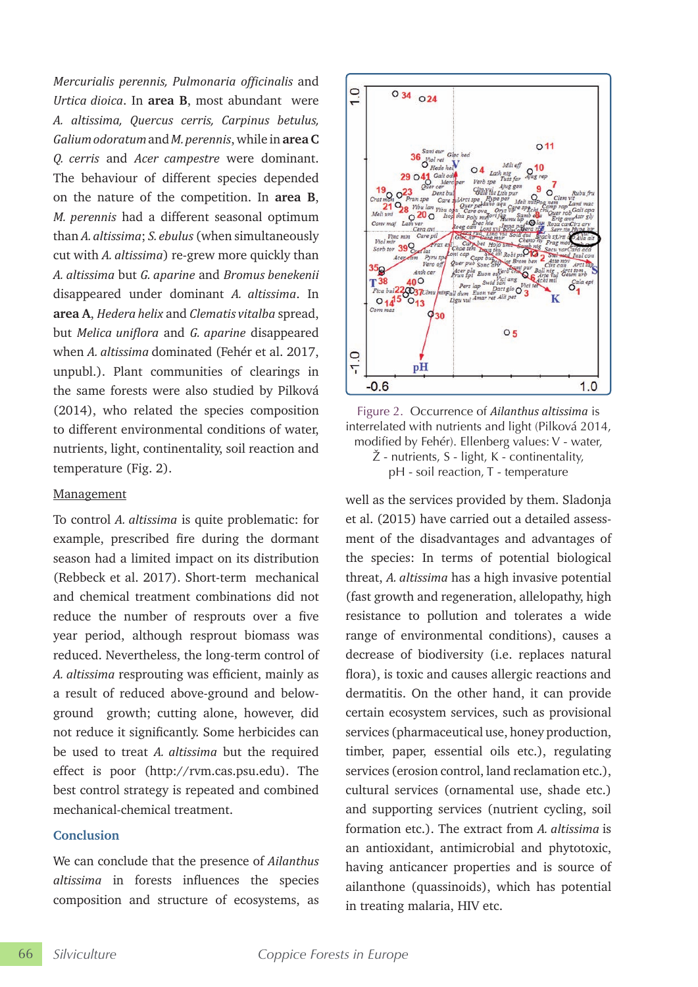*Mercurialis perennis, Pulmonaria officinalis* and *Urtica dioica*. In **area B**, most abundant were *A. altissima, Quercus cerris, Carpinus betulus, Galium odoratum* and *M. perennis*, while in **area C** *Q. cerris* and *Acer campestre* were dominant. The behaviour of different species depended on the nature of the competition. In **area B**, *M. perennis* had a different seasonal optimum than *A. altissima*; *S. ebulus* (when simultaneously cut with *A. altissima*) re-grew more quickly than *A. altissima* but *G. aparine* and *Bromus benekenii*  disappeared under dominant *A. altissima*. In **area A**, *Hedera helix* and *Clematis vitalba* spread, but *Melica uniflora* and *G. aparine* disappeared when *A. altissima* dominated (Fehér et al. 2017, unpubl.). Plant communities of clearings in the same forests were also studied by Pilková (2014), who related the species composition to different environmental conditions of water, nutrients, light, continentality, soil reaction and temperature (Fig. 2).

#### Management

To control *A. altissima* is quite problematic: for example, prescribed fire during the dormant season had a limited impact on its distribution (Rebbeck et al. 2017). Short-term mechanical and chemical treatment combinations did not reduce the number of resprouts over a five year period, although resprout biomass was reduced. Nevertheless, the long-term control of A. *altissima* resprouting was efficient, mainly as a result of reduced above-ground and belowground growth; cutting alone, however, did not reduce it significantly. Some herbicides can be used to treat *A. altissima* but the required effect is poor (http://rvm.cas.psu.edu). The best control strategy is repeated and combined mechanical-chemical treatment.

#### **Conclusion**

We can conclude that the presence of *Ailanthus altissima* in forests influences the species composition and structure of ecosystems, as



Figure 2. Occurrence of *Ailanthus altissima* is interrelated with nutrients and light (Pilková 2014, modified by Fehér). Ellenberg values: V - water, Ž - nutrients, S - light, K - continentality, pH - soil reaction, T - temperature

well as the services provided by them. Sladonja et al. (2015) have carried out a detailed assessment of the disadvantages and advantages of the species: In terms of potential biological threat, *A. altissima* has a high invasive potential (fast growth and regeneration, allelopathy, high resistance to pollution and tolerates a wide range of environmental conditions), causes a decrease of biodiversity (i.e. replaces natural flora), is toxic and causes allergic reactions and dermatitis. On the other hand, it can provide certain ecosystem services, such as provisional services (pharmaceutical use, honey production, timber, paper, essential oils etc.), regulating services (erosion control, land reclamation etc.), cultural services (ornamental use, shade etc.) and supporting services (nutrient cycling, soil formation etc.). The extract from *A. altissima* is an antioxidant, antimicrobial and phytotoxic, having anticancer properties and is source of ailanthone (quassinoids), which has potential in treating malaria, HIV etc.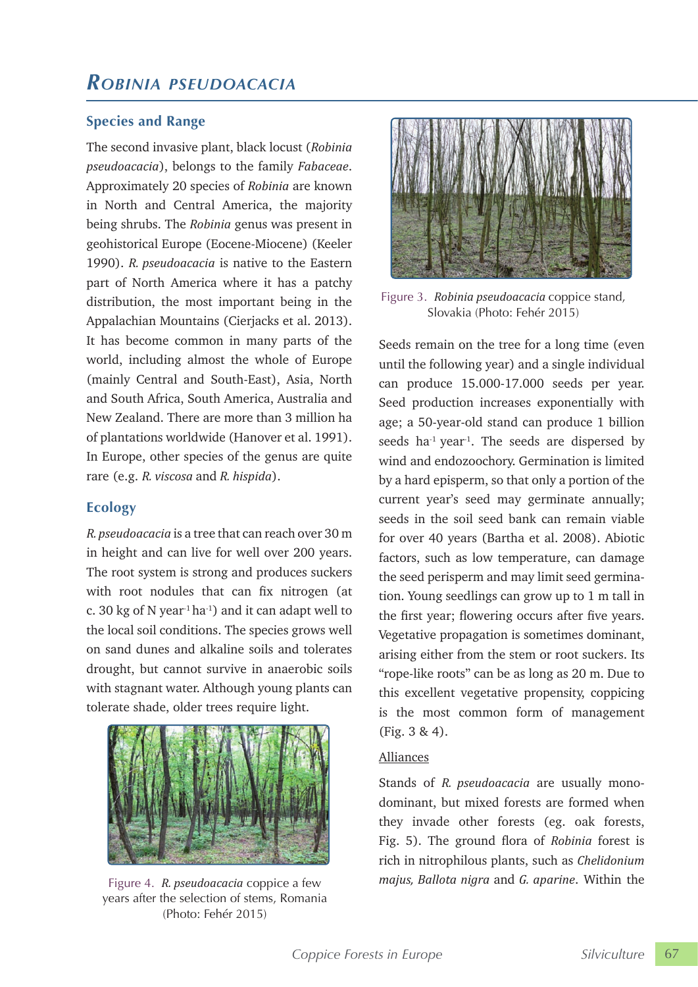# *ROBiniA PsEuDOACACiA*

## **Species and Range**

The second invasive plant, black locust (*Robinia pseudoacacia*), belongs to the family *Fabaceae*. Approximately 20 species of *Robinia* are known in North and Central America, the majority being shrubs. The *Robinia* genus was present in geohistorical Europe (Eocene-Miocene) (Keeler 1990). *R. pseudoacacia* is native to the Eastern part of North America where it has a patchy distribution, the most important being in the Appalachian Mountains (Cierjacks et al. 2013). It has become common in many parts of the world, including almost the whole of Europe (mainly Central and South-East), Asia, North and South Africa, South America, Australia and New Zealand. There are more than 3 million ha of plantations worldwide (Hanover et al. 1991). In Europe, other species of the genus are quite rare (e.g. *R. viscosa* and *R. hispida*).

# **Ecology**

*R. pseudoacacia* is a tree that can reach over 30 m in height and can live for well over 200 years. The root system is strong and produces suckers with root nodules that can fix nitrogen (at c. 30 kg of N year<sup>1</sup> ha<sup>-1</sup>) and it can adapt well to the local soil conditions. The species grows well on sand dunes and alkaline soils and tolerates drought, but cannot survive in anaerobic soils with stagnant water. Although young plants can tolerate shade, older trees require light.



Figure 4. *R. pseudoacacia* coppice a few years after the selection of stems, Romania (Photo: Fehér 2015)



Figure 3. *Robinia pseudoacacia* coppice stand, Slovakia (Photo: Fehér 2015)

Seeds remain on the tree for a long time (even until the following year) and a single individual can produce 15.000-17.000 seeds per year. Seed production increases exponentially with age; a 50-year-old stand can produce 1 billion seeds ha<sup>-1</sup> year<sup>-1</sup>. The seeds are dispersed by wind and endozoochory. Germination is limited by a hard episperm, so that only a portion of the current year's seed may germinate annually; seeds in the soil seed bank can remain viable for over 40 years (Bartha et al. 2008). Abiotic factors, such as low temperature, can damage the seed perisperm and may limit seed germination. Young seedlings can grow up to 1 m tall in the first year; flowering occurs after five years. Vegetative propagation is sometimes dominant, arising either from the stem or root suckers. Its "rope-like roots" can be as long as 20 m. Due to this excellent vegetative propensity, coppicing is the most common form of management (Fig. 3 & 4).

#### Alliances

Stands of *R. pseudoacacia* are usually monodominant, but mixed forests are formed when they invade other forests (eg. oak forests, Fig. 5). The ground flora of *Robinia* forest is rich in nitrophilous plants, such as *Chelidonium majus, Ballota nigra* and *G. aparine*. Within the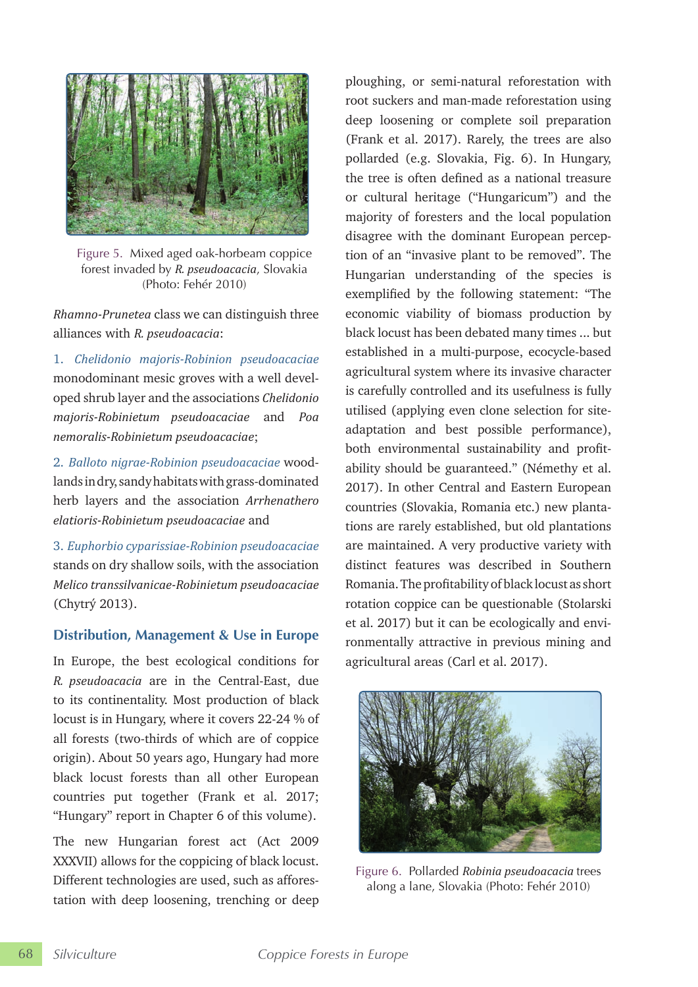

Figure 5. Mixed aged oak-horbeam coppice forest invaded by *R. pseudoacacia*, Slovakia (Photo: Fehér 2010)

*Rhamno-Prunetea* class we can distinguish three alliances with *R. pseudoacacia*:

1. *Chelidonio majoris-Robinion pseudoacaciae*  monodominant mesic groves with a well developed shrub layer and the associations *Chelidonio majoris-Robinietum pseudoacaciae* and *Poa nemoralis-Robinietum pseudoacaciae*;

2. *Balloto nigrae-Robinion pseudoacaciae* woodlands in dry, sandy habitats with grass-dominated herb layers and the association *Arrhenathero elatioris-Robinietum pseudoacaciae* and

3. *Euphorbio cyparissiae-Robinion pseudoacaciae* stands on dry shallow soils, with the association *Melico transsilvanicae-Robinietum pseudoacaciae* (Chytrý 2013).

### **Distribution, Management & Use in Europe**

In Europe, the best ecological conditions for *R. pseudoacacia* are in the Central-East, due to its continentality. Most production of black locust is in Hungary, where it covers 22-24 % of all forests (two-thirds of which are of coppice origin). About 50 years ago, Hungary had more black locust forests than all other European countries put together (Frank et al. 2017; "Hungary" report in Chapter 6 of this volume).

The new Hungarian forest act (Act 2009 XXXVII) allows for the coppicing of black locust. Different technologies are used, such as afforestation with deep loosening, trenching or deep ploughing, or semi-natural reforestation with root suckers and man-made reforestation using deep loosening or complete soil preparation (Frank et al. 2017). Rarely, the trees are also pollarded (e.g. Slovakia, Fig. 6). In Hungary, the tree is often defined as a national treasure or cultural heritage ("Hungaricum") and the majority of foresters and the local population disagree with the dominant European perception of an "invasive plant to be removed". The Hungarian understanding of the species is exemplified by the following statement: "The economic viability of biomass production by black locust has been debated many times ... but established in a multi-purpose, ecocycle-based agricultural system where its invasive character is carefully controlled and its usefulness is fully utilised (applying even clone selection for siteadaptation and best possible performance), both environmental sustainability and profitability should be guaranteed." (Némethy et al. 2017). In other Central and Eastern European countries (Slovakia, Romania etc.) new plantations are rarely established, but old plantations are maintained. A very productive variety with distinct features was described in Southern Romania. The profitability of black locust as short rotation coppice can be questionable (Stolarski et al. 2017) but it can be ecologically and environmentally attractive in previous mining and agricultural areas (Carl et al. 2017).



Figure 6. Pollarded *Robinia pseudoacacia* trees along a lane, Slovakia (Photo: Fehér 2010)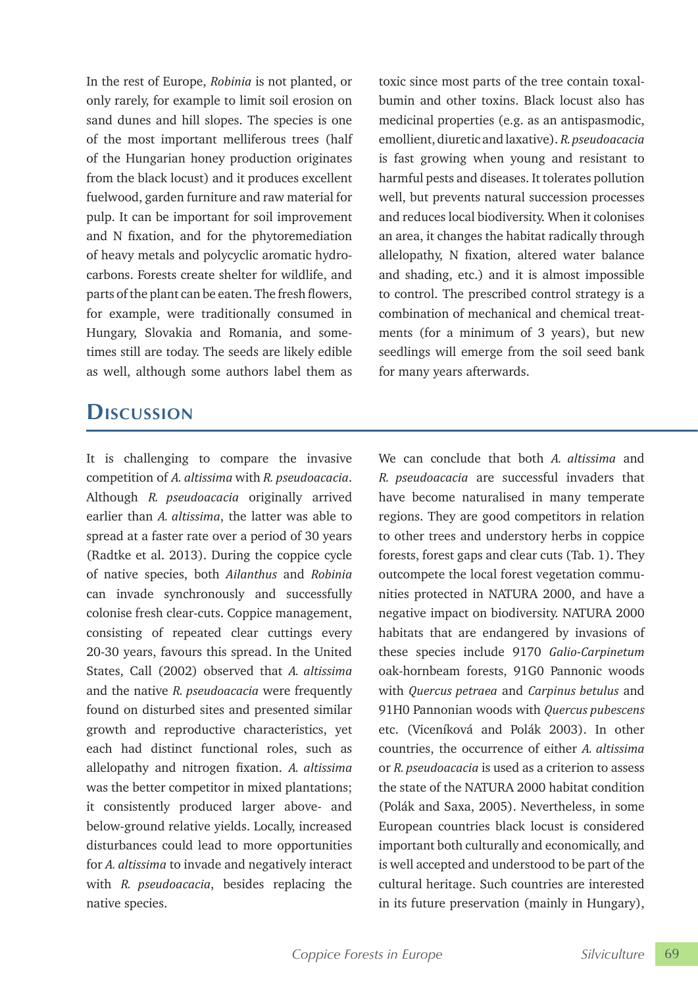In the rest of Europe, *Robinia* is not planted, or only rarely, for example to limit soil erosion on sand dunes and hill slopes. The species is one of the most important melliferous trees (half of the Hungarian honey production originates from the black locust) and it produces excellent fuelwood, garden furniture and raw material for pulp. It can be important for soil improvement and N fixation, and for the phytoremediation of heavy metals and polycyclic aromatic hydrocarbons. Forests create shelter for wildlife, and parts of the plant can be eaten. The fresh flowers, for example, were traditionally consumed in Hungary, Slovakia and Romania, and sometimes still are today. The seeds are likely edible as well, although some authors label them as

# **Discussion**

It is challenging to compare the invasive competition of *A. altissima* with *R. pseudoacacia*. Although *R. pseudoacacia* originally arrived earlier than *A. altissima*, the latter was able to spread at a faster rate over a period of 30 years (Radtke et al. 2013). During the coppice cycle of native species, both *Ailanthus* and *Robinia* can invade synchronously and successfully colonise fresh clear-cuts. Coppice management, consisting of repeated clear cuttings every 20-30 years, favours this spread. In the United States, Call (2002) observed that *A. altissima*  and the native *R. pseudoacacia* were frequently found on disturbed sites and presented similar growth and reproductive characteristics, yet each had distinct functional roles, such as allelopathy and nitrogen fixation. *A. altissima*  was the better competitor in mixed plantations; it consistently produced larger above- and below-ground relative yields. Locally, increased disturbances could lead to more opportunities for *A. altissima* to invade and negatively interact with *R. pseudoacacia*, besides replacing the native species.

toxic since most parts of the tree contain toxalbumin and other toxins. Black locust also has medicinal properties (e.g. as an antispasmodic, emollient, diuretic and laxative). *R. pseudoacacia* is fast growing when young and resistant to harmful pests and diseases. It tolerates pollution well, but prevents natural succession processes and reduces local biodiversity. When it colonises an area, it changes the habitat radically through allelopathy, N fixation, altered water balance and shading, etc.) and it is almost impossible to control. The prescribed control strategy is a combination of mechanical and chemical treatments (for a minimum of 3 years), but new seedlings will emerge from the soil seed bank for many years afterwards.

We can conclude that both *A. altissima* and *R. pseudoacacia* are successful invaders that have become naturalised in many temperate regions. They are good competitors in relation to other trees and understory herbs in coppice forests, forest gaps and clear cuts (Tab. 1). They outcompete the local forest vegetation communities protected in NATURA 2000, and have a negative impact on biodiversity. NATURA 2000 habitats that are endangered by invasions of these species include 9170 *Galio-Carpinetum* oak-hornbeam forests, 91G0 Pannonic woods with *Quercus petraea* and *Carpinus betulus* and 91H0 Pannonian woods with *Quercus pubescens* etc. (Viceníková and Polák 2003). In other countries, the occurrence of either *A. altissima* or *R. pseudoacacia* is used as a criterion to assess the state of the NATURA 2000 habitat condition (Polák and Saxa, 2005). Nevertheless, in some European countries black locust is considered important both culturally and economically, and is well accepted and understood to be part of the cultural heritage. Such countries are interested in its future preservation (mainly in Hungary),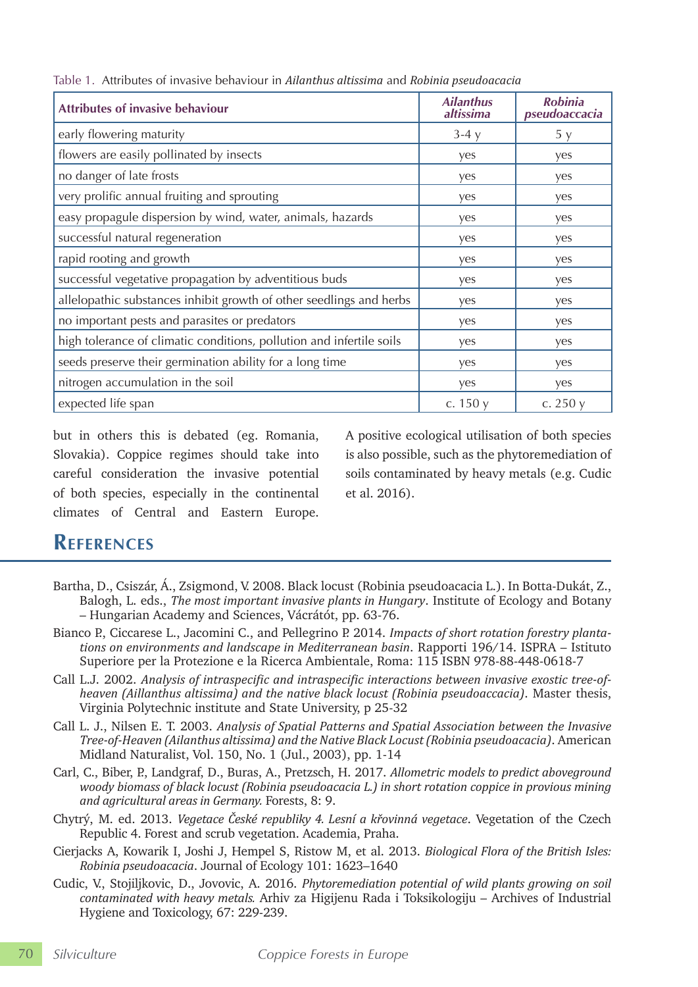| <b>Attributes of invasive behaviour</b>                              | <b>Ailanthus</b><br>altissima | <b>Robinia</b><br>pseudoaccacia |
|----------------------------------------------------------------------|-------------------------------|---------------------------------|
| early flowering maturity                                             | $3-4y$                        | 5y                              |
| flowers are easily pollinated by insects                             | yes                           | yes                             |
| no danger of late frosts                                             | yes                           | yes                             |
| very prolific annual fruiting and sprouting                          | yes                           | yes                             |
| easy propagule dispersion by wind, water, animals, hazards           | yes                           | yes                             |
| successful natural regeneration                                      | yes                           | yes                             |
| rapid rooting and growth                                             | yes                           | yes                             |
| successful vegetative propagation by adventitious buds               | yes                           | yes                             |
| allelopathic substances inhibit growth of other seedlings and herbs  | yes                           | yes                             |
| no important pests and parasites or predators                        | yes                           | yes                             |
| high tolerance of climatic conditions, pollution and infertile soils | yes                           | yes                             |
| seeds preserve their germination ability for a long time             | yes                           | yes                             |
| nitrogen accumulation in the soil                                    | yes                           | yes                             |
| expected life span                                                   | c. $150y$                     | c. $250y$                       |

Table 1. Attributes of invasive behaviour in *Ailanthus altissima* and *Robinia pseudoacacia*

but in others this is debated (eg. Romania, Slovakia). Coppice regimes should take into careful consideration the invasive potential of both species, especially in the continental climates of Central and Eastern Europe.

A positive ecological utilisation of both species is also possible, such as the phytoremediation of soils contaminated by heavy metals (e.g. Cudic et al. 2016).

# **References**

- Bartha, D., Csiszár, Á., Zsigmond, V. 2008. Black locust (Robinia pseudoacacia L.). In Botta-Dukát, Z., Balogh, L. eds., *The most important invasive plants in Hungary*. Institute of Ecology and Botany – Hungarian Academy and Sciences, Vácrátót, pp. 63-76.
- Bianco P., Ciccarese L., Jacomini C., and Pellegrino P. 2014. *Impacts of short rotation forestry plantations on environments and landscape in Mediterranean basin*. Rapporti 196/14. ISPRA – Istituto Superiore per la Protezione e la Ricerca Ambientale, Roma: 115 ISBN 978-88-448-0618-7
- Call L.J. 2002. *Analysis of intraspecific and intraspecific interactions between invasive exostic tree-ofheaven (Aillanthus altissima) and the native black locust (Robinia pseudoaccacia)*. Master thesis, Virginia Polytechnic institute and State University, p 25-32
- Call L. J., Nilsen E. T. 2003. *Analysis of Spatial Patterns and Spatial Association between the Invasive Tree-of-Heaven (Ailanthus altissima) and the Native Black Locust (Robinia pseudoacacia)*. American Midland Naturalist, Vol. 150, No. 1 (Jul., 2003), pp. 1-14
- Carl, C., Biber, P., Landgraf, D., Buras, A., Pretzsch, H. 2017. *Allometric models to predict aboveground woody biomass of black locust (Robinia pseudoacacia L.) in short rotation coppice in provious mining and agricultural areas in Germany.* Forests, 8: 9.
- Chytrý, M. ed. 2013. *Vegetace České republiky 4. Lesní a křovinná vegetace*. Vegetation of the Czech Republic 4. Forest and scrub vegetation. Academia, Praha.
- Cierjacks A, Kowarik I, Joshi J, Hempel S, Ristow M, et al. 2013. *Biological Flora of the British Isles: Robinia pseudoacacia*. Journal of Ecology 101: 1623–1640
- Cudic, V., Stojiljkovic, D., Jovovic, A. 2016. *Phytoremediation potential of wild plants growing on soil contaminated with heavy metals.* Arhiv za Higijenu Rada i Toksikologiju – Archives of Industrial Hygiene and Toxicology, 67: 229-239.